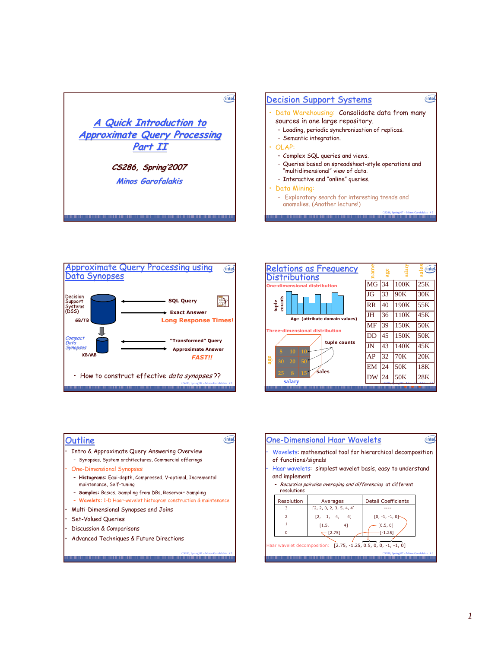









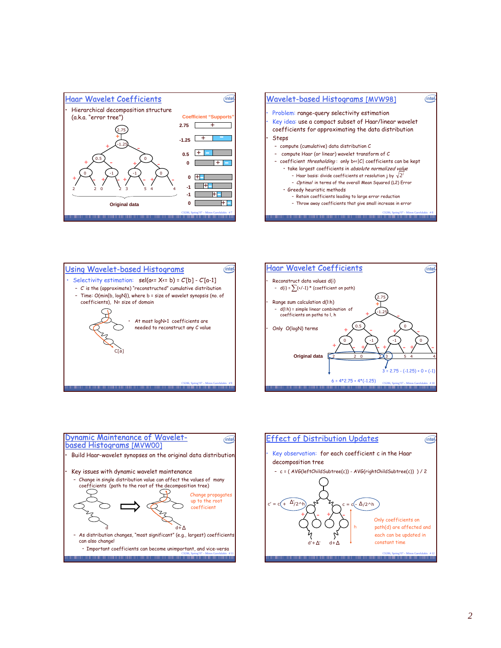









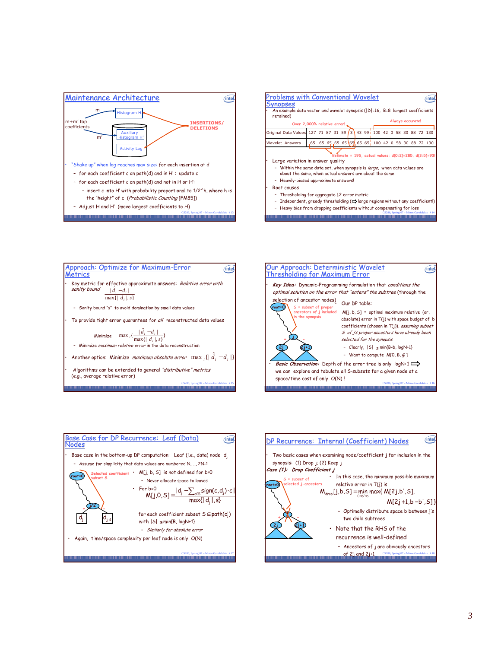









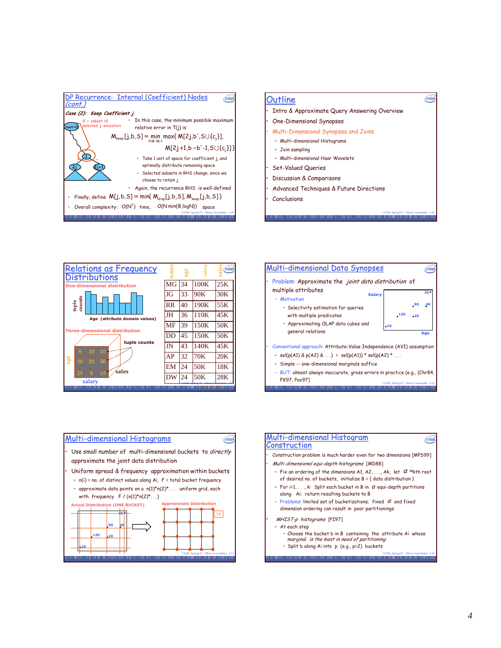











• Split b along Ai into þ (e.g., p=2) buckets